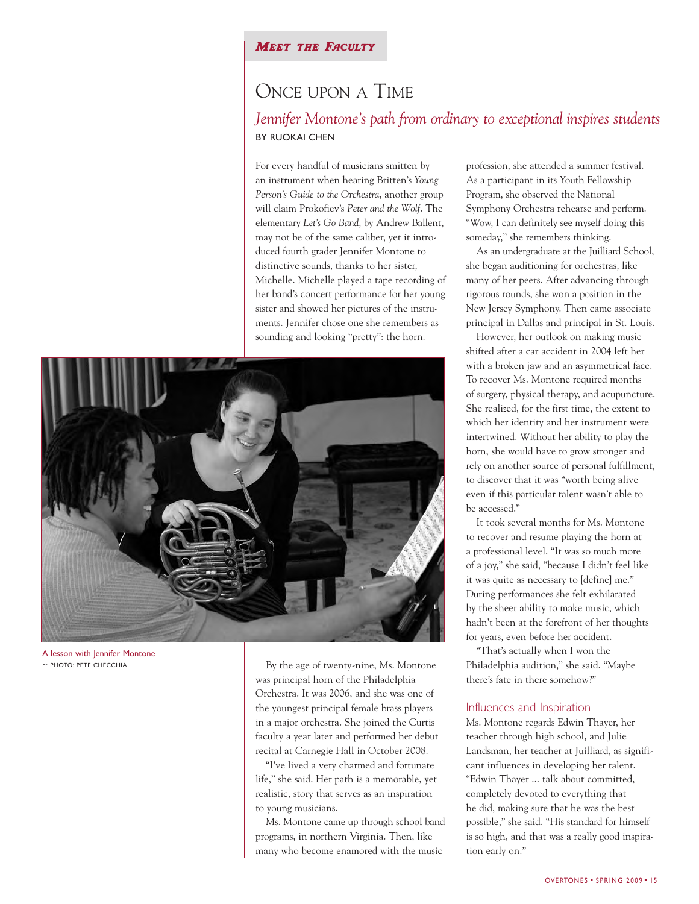## **MEET THE FACULTY**

## ONCE UPON A TIME

## *Jennifer Montone's path from ordinary to exceptional inspires students* BY RUOKAI CHEN

For every handful of musicians smitten by an instrument when hearing Britten's *Young Person's Guide to the Orchestra*, another group will claim Prokofiev's *Peter and the Wolf*. The elementary *Let's Go Band*, by Andrew Ballent, may not be of the same caliber, yet it introduced fourth grader Jennifer Montone to distinctive sounds, thanks to her sister, Michelle. Michelle played a tape recording of her band's concert performance for her young sister and showed her pictures of the instruments. Jennifer chose one she remembers as sounding and looking "pretty": the horn.



A lesson with Jennifer Montone *~* PHOTO: PETE CHECCHIA

By the age of twenty-nine, Ms. Montone was principal horn of the Philadelphia Orchestra. It was 2006, and she was one of the youngest principal female brass players in a major orchestra. She joined the Curtis faculty a year later and performed her debut recital at Carnegie Hall in October 2008.

"I've lived a very charmed and fortunate life," she said. Her path is a memorable, yet realistic, story that serves as an inspiration to young musicians.

Ms. Montone came up through school band programs, in northern Virginia. Then, like many who become enamored with the music

profession, she attended a summer festival. As a participant in its Youth Fellowship Program, she observed the National Symphony Orchestra rehearse and perform. "Wow, I can definitely see myself doing this someday," she remembers thinking.

As an undergraduate at the Juilliard School, she began auditioning for orchestras, like many of her peers. After advancing through rigorous rounds, she won a position in the New Jersey Symphony. Then came associate principal in Dallas and principal in St. Louis.

However, her outlook on making music shifted after a car accident in 2004 left her with a broken jaw and an asymmetrical face. To recover Ms. Montone required months of surgery, physical therapy, and acupuncture. She realized, for the first time, the extent to which her identity and her instrument were intertwined. Without her ability to play the horn, she would have to grow stronger and rely on another source of personal fulfillment, to discover that it was "worth being alive even if this particular talent wasn't able to be accessed."

It took several months for Ms. Montone to recover and resume playing the horn at a professional level. "It was so much more of a joy," she said, "because I didn't feel like it was quite as necessary to [define] me." During performances she felt exhilarated by the sheer ability to make music, which hadn't been at the forefront of her thoughts for years, even before her accident.

"That's actually when I won the Philadelphia audition," she said. "Maybe there's fate in there somehow?"

## Influences and Inspiration

Ms. Montone regards Edwin Thayer, her teacher through high school, and Julie Landsman, her teacher at Juilliard, as significant influences in developing her talent. "Edwin Thayer ... talk about committed, completely devoted to everything that he did, making sure that he was the best possible," she said. "His standard for himself is so high, and that was a really good inspiration early on."